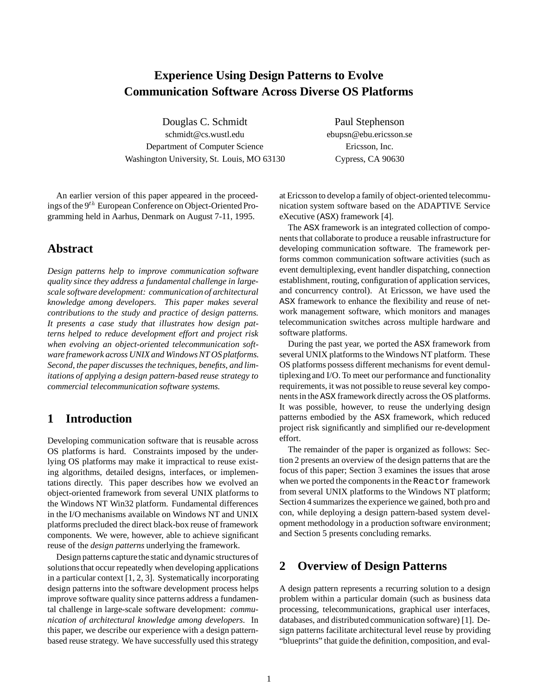# **Experience Using Design Patterns to Evolve Communication Software Across Diverse OS Platforms**

Douglas C. Schmidt Paul Stephenson schmidt@cs.wustl.edu ebupsn@ebu.ericsson.se Department of Computer Science Ericsson, Inc. Washington University, St. Louis, MO 63130 Cypress, CA 90630

An earlier version of this paper appeared in the proceedings of the  $9<sup>th</sup>$  European Conference on Object-Oriented Programming held in Aarhus, Denmark on August 7-11, 1995.

## **Abstract**

*Design patterns help to improve communication software quality since they address a fundamental challenge in largescale software development: communication of architectural knowledge among developers. This paper makes several contributions to the study and practice of design patterns. It presents a case study that illustrates how design patterns helped to reduce development effort and project risk when evolving an object-oriented telecommunication software framework across UNIX and Windows NT OS platforms. Second, the paper discusses the techniques, benefits, and limitations of applying a design pattern-based reuse strategy to commercial telecommunication software systems.*

## **1 Introduction**

Developing communication software that is reusable across OS platforms is hard. Constraints imposed by the underlying OS platforms may make it impractical to reuse existing algorithms, detailed designs, interfaces, or implementations directly. This paper describes how we evolved an object-oriented framework from several UNIX platforms to the Windows NT Win32 platform. Fundamental differences in the I/O mechanisms available on Windows NT and UNIX platforms precluded the direct black-box reuse of framework components. We were, however, able to achieve significant reuse of the *design patterns* underlying the framework.

Design patterns capture the static and dynamic structures of solutions that occur repeatedly when developing applications in a particular context [1, 2, 3]. Systematically incorporating design patterns into the software development process helps improve software quality since patterns address a fundamental challenge in large-scale software development: *communication of architectural knowledge among developers*. In this paper, we describe our experience with a design patternbased reuse strategy. We have successfully used this strategy

at Ericsson to develop a family of object-oriented telecommunication system software based on the ADAPTIVE Service eXecutive (ASX) framework [4].

The ASX framework is an integrated collection of components that collaborate to produce a reusable infrastructure for developing communication software. The framework performs common communication software activities (such as event demultiplexing, event handler dispatching, connection establishment, routing, configuration of application services, and concurrency control). At Ericsson, we have used the ASX framework to enhance the flexibility and reuse of network management software, which monitors and manages telecommunication switches across multiple hardware and software platforms.

During the past year, we ported the ASX framework from several UNIX platforms to the Windows NT platform. These OS platforms possess different mechanisms for event demultiplexingand I/O. To meet our performance and functionality requirements, it was not possible to reuse several key components in the ASX framework directly across the OS platforms. It was possible, however, to reuse the underlying design patterns embodied by the ASX framework, which reduced project risk significantly and simplified our re-development effort.

The remainder of the paper is organized as follows: Section 2 presents an overview of the design patterns that are the focus of this paper; Section 3 examines the issues that arose when we ported the components in the Reactor framework from several UNIX platforms to the Windows NT platform; Section 4 summarizes the experience we gained, both pro and con, while deploying a design pattern-based system development methodology in a production software environment; and Section 5 presents concluding remarks.

## **2 Overview of Design Patterns**

A design pattern represents a recurring solution to a design problem within a particular domain (such as business data processing, telecommunications, graphical user interfaces, databases, and distributed communication software) [1]. Design patterns facilitate architectural level reuse by providing "blueprints" that guide the definition, composition, and eval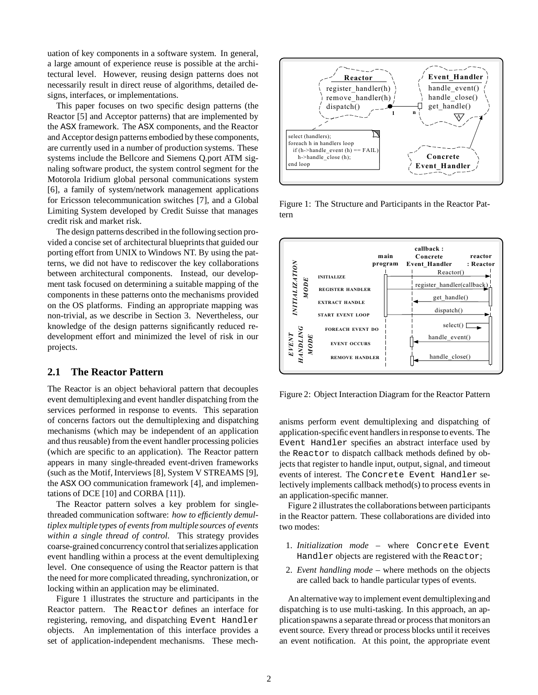uation of key components in a software system. In general, a large amount of experience reuse is possible at the architectural level. However, reusing design patterns does not necessarily result in direct reuse of algorithms, detailed designs, interfaces, or implementations.

This paper focuses on two specific design patterns (the Reactor [5] and Acceptor patterns) that are implemented by the ASX framework. The ASX components, and the Reactor and Acceptor design patterns embodied by these components, are currently used in a number of production systems. These systems include the Bellcore and Siemens Q.port ATM signaling software product, the system control segment for the Motorola Iridium global personal communications system [6], a family of system/network management applications for Ericsson telecommunication switches [7], and a Global Limiting System developed by Credit Suisse that manages credit risk and market risk.

The design patterns described in the following section provided a concise set of architectural blueprints that guided our porting effort from UNIX to Windows NT. By using the patterns, we did not have to rediscover the key collaborations between architectural components. Instead, our development task focused on determining a suitable mapping of the components in these patterns onto the mechanisms provided on the OS platforms. Finding an appropriate mapping was non-trivial, as we describe in Section 3. Nevertheless, our knowledge of the design patterns significantly reduced redevelopment effort and minimized the level of risk in our projects.

### **2.1 The Reactor Pattern**

The Reactor is an object behavioral pattern that decouples event demultiplexing and event handler dispatching from the services performed in response to events. This separation of concerns factors out the demultiplexing and dispatching mechanisms (which may be independent of an application and thus reusable) from the event handler processing policies (which are specific to an application). The Reactor pattern appears in many single-threaded event-driven frameworks (such as the Motif, Interviews [8], System V STREAMS [9], the ASX OO communication framework [4], and implementations of DCE [10] and CORBA [11]).

The Reactor pattern solves a key problem for singlethreaded communication software: *how to efficiently demultiplex multiple types of events from multiple sources of events within a single thread of control.* This strategy provides coarse-grained concurrency control that serializes application event handling within a process at the event demultiplexing level. One consequence of using the Reactor pattern is that the need for more complicated threading, synchronization, or locking within an application may be eliminated.

Figure 1 illustrates the structure and participants in the Reactor pattern. The Reactor defines an interface for registering, removing, and dispatching Event Handler objects. An implementation of this interface provides a set of application-independent mechanisms. These mech-



Figure 1: The Structure and Participants in the Reactor Pattern



Figure 2: Object Interaction Diagram for the Reactor Pattern

anisms perform event demultiplexing and dispatching of application-specific event handlers in response to events. The Event Handler specifies an abstract interface used by the Reactor to dispatch callback methods defined by objects that register to handle input, output, signal, and timeout events of interest. The Concrete Event Handler selectively implements callback method(s) to process events in an application-specific manner.

Figure 2 illustrates the collaborations between participants in the Reactor pattern. These collaborations are divided into two modes:

- 1. *Initialization mode* where Concrete Event Handler objects are registered with the Reactor;
- 2. *Event handling mode* where methods on the objects are called back to handle particular types of events.

An alternative way to implement event demultiplexingand dispatching is to use multi-tasking. In this approach, an applicationspawns a separate thread or process that monitors an event source. Every thread or process blocks until it receives an event notification. At this point, the appropriate event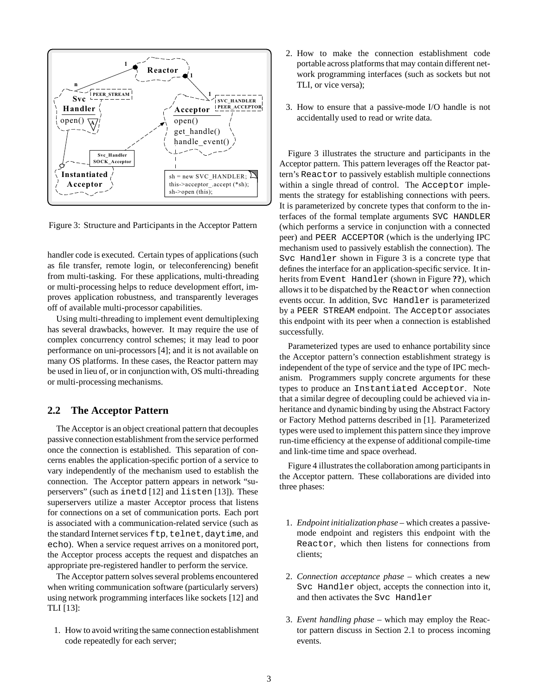

Figure 3: Structure and Participants in the Acceptor Pattern

handler code is executed. Certain types of applications (such as file transfer, remote login, or teleconferencing) benefit from multi-tasking. For these applications, multi-threading or multi-processing helps to reduce development effort, improves application robustness, and transparently leverages off of available multi-processor capabilities.

Using multi-threading to implement event demultiplexing has several drawbacks, however. It may require the use of complex concurrency control schemes; it may lead to poor performance on uni-processors [4]; and it is not available on many OS platforms. In these cases, the Reactor pattern may be used in lieu of, or in conjunction with, OS multi-threading or multi-processing mechanisms.

#### **2.2 The Acceptor Pattern**

The Acceptor is an object creational pattern that decouples passive connection establishment from the service performed once the connection is established. This separation of concerns enables the application-specific portion of a service to vary independently of the mechanism used to establish the connection. The Acceptor pattern appears in network "superservers" (such as inetd [12] and listen [13]). These superservers utilize a master Acceptor process that listens for connections on a set of communication ports. Each port is associated with a communication-related service (such as the standard Internet services ftp, telnet, daytime, and echo). When a service request arrives on a monitored port, the Acceptor process accepts the request and dispatches an appropriate pre-registered handler to perform the service.

The Acceptor pattern solves several problems encountered when writing communication software (particularly servers) using network programming interfaces like sockets [12] and TLI [13]:

1. How to avoid writing the same connection establishment code repeatedly for each server;

- 2. How to make the connection establishment code portable across platforms that may contain different network programming interfaces (such as sockets but not TLI, or vice versa);
- 3. How to ensure that a passive-mode I/O handle is not accidentally used to read or write data.

Figure 3 illustrates the structure and participants in the Acceptor pattern. This pattern leverages off the Reactor pattern's Reactor to passively establish multiple connections within a single thread of control. The Acceptor implements the strategy for establishing connections with peers. It is parameterized by concrete types that conform to the interfaces of the formal template arguments SVC HANDLER (which performs a service in conjunction with a connected peer) and PEER ACCEPTOR (which is the underlying IPC mechanism used to passively establish the connection). The Svc Handler shown in Figure 3 is a concrete type that defines the interface for an application-specific service. It inherits from Event Handler (shown in Figure **??**), which allows it to be dispatched by the Reactor when connection events occur. In addition, Svc Handler is parameterized by a PEER STREAM endpoint. The Acceptor associates this endpoint with its peer when a connection is established successfully.

Parameterized types are used to enhance portability since the Acceptor pattern's connection establishment strategy is independent of the type of service and the type of IPC mechanism. Programmers supply concrete arguments for these types to produce an Instantiated Acceptor. Note that a similar degree of decoupling could be achieved via inheritance and dynamic binding by using the Abstract Factory or Factory Method patterns described in [1]. Parameterized types were used to implement this pattern since they improve run-time efficiency at the expense of additional compile-time and link-time time and space overhead.

Figure 4 illustrates the collaboration among participants in the Acceptor pattern. These collaborations are divided into three phases:

- 1. *Endpoint initialization phase* which creates a passivemode endpoint and registers this endpoint with the Reactor, which then listens for connections from clients;
- 2. *Connection acceptance phase* which creates a new Svc Handler object, accepts the connection into it, and then activates the Svc Handler
- 3. *Event handling phase* which may employ the Reactor pattern discuss in Section 2.1 to process incoming events.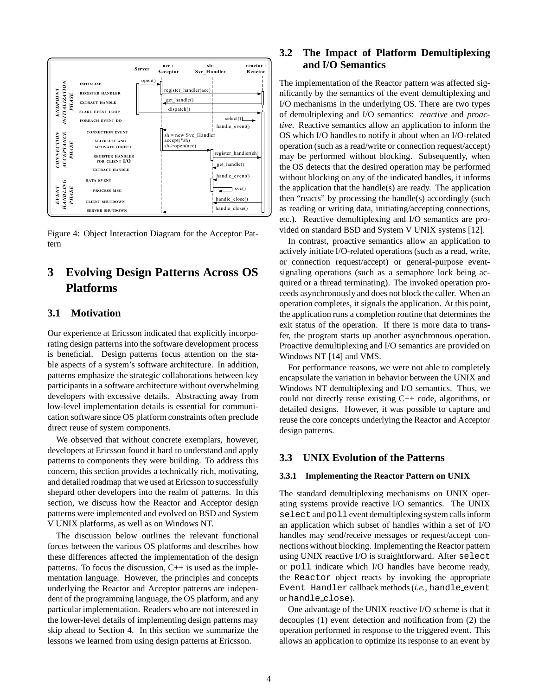

Figure 4: Object Interaction Diagram for the Acceptor Pattern

# **3 Evolving Design Patterns Across OS Platforms**

### **3.1 Motivation**

Our experience at Ericsson indicated that explicitly incorporating design patterns into the software development process is beneficial. Design patterns focus attention on the stable aspects of a system's software architecture. In addition, patterns emphasize the strategic collaborations between key participants in a software architecture without overwhelming developers with excessive details. Abstracting away from low-level implementation details is essential for communication software since OS platform constraints often preclude direct reuse of system components.

We observed that without concrete exemplars, however, developers at Ericsson found it hard to understand and apply patterns to components they were building. To address this concern, this section provides a technically rich, motivating, and detailed roadmap that we used at Ericsson to successfully shepard other developers into the realm of patterns. In this section, we discuss how the Reactor and Acceptor design patterns were implemented and evolved on BSD and System V UNIX platforms, as well as on Windows NT.

The discussion below outlines the relevant functional forces between the various OS platforms and describes how these differences affected the implementation of the design patterns. To focus the discussion,  $C++$  is used as the implementation language. However, the principles and concepts underlying the Reactor and Acceptor patterns are independent of the programming language, the OS platform, and any particular implementation. Readers who are not interested in the lower-level details of implementing design patterns may skip ahead to Section 4. In this section we summarize the lessons we learned from using design patterns at Ericsson.

### **3.2 The Impact of Platform Demultiplexing and I/O Semantics**

The implementation of the Reactor pattern was affected significantly by the semantics of the event demultiplexing and I/O mechanisms in the underlying OS. There are two types of demultiplexing and I/O semantics: *reactive* and *proactive*. Reactive semantics allow an application to inform the OS which I/O handles to notify it about when an I/O-related operation (such as a read/write or connection request/accept) may be performed without blocking. Subsequently, when the OS detects that the desired operation may be performed without blocking on any of the indicated handles, it informs the application that the handle(s) are ready. The application then "reacts" by processing the handle(s) accordingly (such as reading or writing data, initiating/accepting connections, etc.). Reactive demultiplexing and I/O semantics are provided on standard BSD and System V UNIX systems [12].

In contrast, proactive semantics allow an application to actively initiate I/O-related operations (such as a read, write, or connection request/accept) or general-purpose eventsignaling operations (such as a semaphore lock being acquired or a thread terminating). The invoked operation proceeds asynchronously and does not block the caller. When an operation completes, it signals the application. At this point, the application runs a completion routine that determines the exit status of the operation. If there is more data to transfer, the program starts up another asynchronous operation. Proactive demultiplexing and I/O semantics are provided on Windows NT [14] and VMS.

For performance reasons, we were not able to completely encapsulate the variation in behavior between the UNIX and Windows NT demultiplexing and I/O semantics. Thus, we could not directly reuse existing C++ code, algorithms, or detailed designs. However, it was possible to capture and reuse the core concepts underlying the Reactor and Acceptor design patterns.

#### **3.3 UNIX Evolution of the Patterns**

#### **3.3.1 Implementing the Reactor Pattern on UNIX**

The standard demultiplexing mechanisms on UNIX operating systems provide reactive I/O semantics. The UNIX select and poll event demultiplexing system calls inform an application which subset of handles within a set of I/O handles may send/receive messages or request/accept connections without blocking. Implementing the Reactor pattern using UNIX reactive I/O is straightforward. After select or poll indicate which I/O handles have become ready, the Reactor object reacts by invoking the appropriate Event Handler callback methods (*i.e.,* handle event or handle close).

One advantage of the UNIX reactive I/O scheme is that it decouples (1) event detection and notification from (2) the operation performed in response to the triggered event. This allows an application to optimize its response to an event by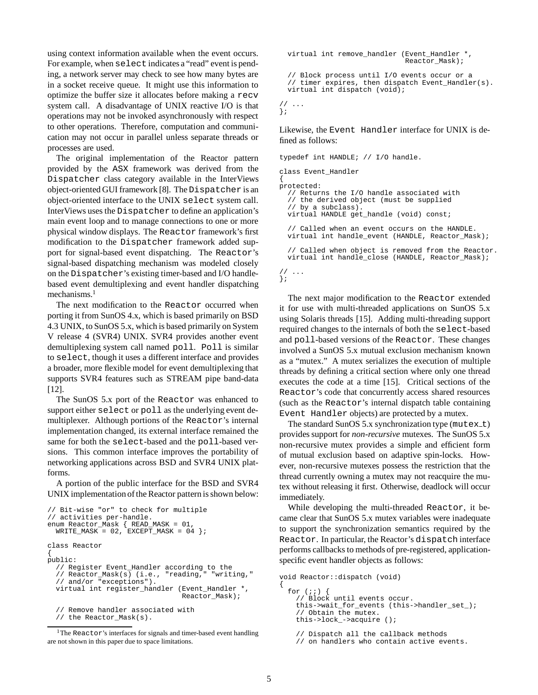using context information available when the event occurs. For example, when select indicates a "read" event is pending, a network server may check to see how many bytes are in a socket receive queue. It might use this information to optimize the buffer size it allocates before making a recv system call. A disadvantage of UNIX reactive I/O is that operations may not be invoked asynchronously with respect to other operations. Therefore, computation and communication may not occur in parallel unless separate threads or processes are used.

The original implementation of the Reactor pattern provided by the ASX framework was derived from the Dispatcher class category available in the InterViews object-oriented GUI framework [8]. The Dispatcher is an object-oriented interface to the UNIX select system call. InterViews uses the Dispatcher to define an application's main event loop and to manage connections to one or more physical window displays. The Reactor framework's first modification to the Dispatcher framework added support for signal-based event dispatching. The Reactor's signal-based dispatching mechanism was modeled closely on the Dispatcher's existing timer-based and I/O handlebased event demultiplexing and event handler dispatching mechanisms.<sup>1</sup>

The next modification to the Reactor occurred when porting it from SunOS 4.x, which is based primarily on BSD 4.3 UNIX, to SunOS 5.x, which is based primarily on System V release 4 (SVR4) UNIX. SVR4 provides another event demultiplexing system call named poll. Poll is similar to select, though it uses a different interface and provides a broader, more flexible model for event demultiplexing that supports SVR4 features such as STREAM pipe band-data [12].

The SunOS 5.x port of the Reactor was enhanced to support either select or poll as the underlying event demultiplexer. Although portions of the Reactor's internal implementation changed, its external interface remained the same for both the select-based and the poll-based versions. This common interface improves the portability of networking applications across BSD and SVR4 UNIX platforms.

A portion of the public interface for the BSD and SVR4 UNIX implementation of the Reactor pattern is shown below:

```
// Bit-wise "or" to check for multiple
// activities per-handle.
enum Reactor_Mask { READ_MASK = 01,
  WRITE_MASK = 02, EXCEPT_MASK = 04 };
class Reactor
{
public:
  // Register Event_Handler according to the
  // Reactor_Mask(s) (i.e., "reading," "writing,"
  // and/or "exceptions").
  virtual int register_handler (Event_Handler *,
                                Reactor_Mask);
  // Remove handler associated with
  // the Reactor_Mask(s).
```

```
<sup>1</sup>The Reactor's interfaces for signals and timer-based event handling
are not shown in this paper due to space limitations.
```
virtual int remove\_handler (Event\_Handler \*, Reactor\_Mask); // Block process until I/O events occur or a

```
// timer expires, then dispatch Event_Handler(s).
virtual int dispatch (void);
```
// ... };

Likewise, the Event Handler interface for UNIX is defined as follows:

typedef int HANDLE; // I/O handle.

class Event\_Handler { protected: // Returns the I/O handle associated with // the derived object (must be supplied // by a subclass). virtual HANDLE get\_handle (void) const; // Called when an event occurs on the HANDLE. virtual int handle\_event (HANDLE, Reactor\_Mask); // Called when object is removed from the Reactor. virtual int handle\_close (HANDLE, Reactor\_Mask); // ...

 $\hat{ }$ ;

The next major modification to the Reactor extended it for use with multi-threaded applications on SunOS 5.x using Solaris threads [15]. Adding multi-threading support required changes to the internals of both the select-based and poll-based versions of the Reactor. These changes involved a SunOS 5.x mutual exclusion mechanism known as a "mutex." A mutex serializes the execution of multiple threads by defining a critical section where only one thread executes the code at a time [15]. Critical sections of the Reactor's code that concurrently access shared resources (such as the Reactor's internal dispatch table containing Event Handler objects) are protected by a mutex.

The standard SunOS 5.x synchronization type  $(m \text{utex}\text{-}t)$ provides support for *non-recursive* mutexes. The SunOS 5.x non-recursive mutex provides a simple and efficient form of mutual exclusion based on adaptive spin-locks. However, non-recursive mutexes possess the restriction that the thread currently owning a mutex may not reacquire the mutex without releasing it first. Otherwise, deadlock will occur immediately.

While developing the multi-threaded Reactor, it became clear that SunOS 5.x mutex variables were inadequate to support the synchronization semantics required by the Reactor. In particular, the Reactor's dispatch interface performs callbacks to methods of pre-registered, applicationspecific event handler objects as follows:

```
void Reactor::dispatch (void)
{
 for (i; j) {
    // Block until events occur.
    this->wait_for_events (this->handler_set_);
    // Obtain the mutex.
    this->lock_->acquire ();
    // Dispatch all the callback methods
    // on handlers who contain active events.
```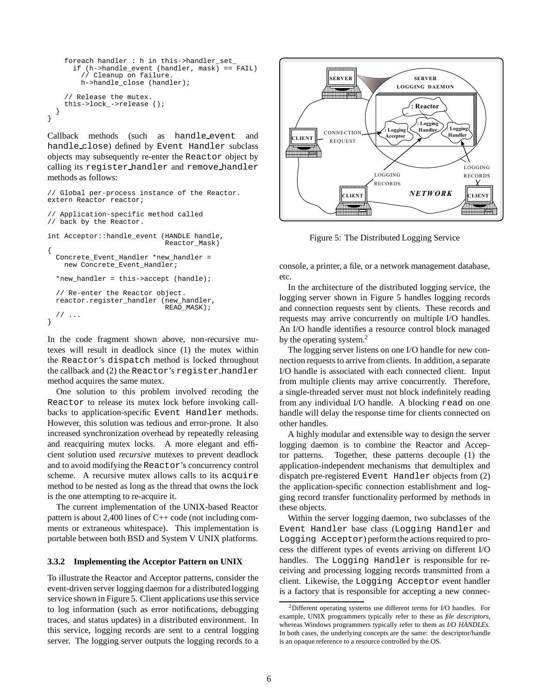```
foreach handler : h in this->handler_set_
    if (h->handle_event (handler, mask) == FAIL)
      // Cleanup on failure.
      h->handle_close (handler);
  // Release the mutex.
  this->lock_->release ();
}
```
}

Callback methods (such as handle event and handle close) defined by Event Handler subclass objects may subsequently re-enter the Reactor object by calling its register handler and remove handler methods as follows:

```
// Global per-process instance of the Reactor.
extern Reactor reactor;
// Application-specific method called
// back by the Reactor.
int Acceptor::handle_event (HANDLE handle,
                            Reactor_Mask)
{
 Concrete_Event_Handler *new_handler =
    new Concrete_Event_Handler;
  *new handler = this->accept (handle);
  // Re-enter the Reactor object.
  reactor.register_handler (new_handler,
                            READ_MASK);
  // ...
}
```
In the code fragment shown above, non-recursive mutexes will result in deadlock since (1) the mutex within the Reactor's dispatch method is locked throughout the callback and (2) the Reactor's register handler method acquires the same mutex.

One solution to this problem involved recoding the Reactor to release its mutex lock before invoking callbacks to application-specific Event Handler methods. However, this solution was tedious and error-prone. It also increased synchronization overhead by repeatedly releasing and reacquiring mutex locks. A more elegant and efficient solution used *recursive* mutexes to prevent deadlock and to avoid modifying the Reactor's concurrency control scheme. A recursive mutex allows calls to its acquire method to be nested as long as the thread that owns the lock is the one attempting to re-acquire it.

The current implementation of the UNIX-based Reactor pattern is about 2,400 lines of C++ code (not including comments or extraneous whitespace). This implementation is portable between both BSD and System V UNIX platforms.

#### **3.3.2 Implementing the Acceptor Pattern on UNIX**

To illustrate the Reactor and Acceptor patterns, consider the event-driven server logging daemon for a distributed logging service shown in Figure 5. Client applications use this service to log information (such as error notifications, debugging traces, and status updates) in a distributed environment. In this service, logging records are sent to a central logging server. The logging server outputs the logging records to a



Figure 5: The Distributed Logging Service

console, a printer, a file, or a network management database, etc.

In the architecture of the distributed logging service, the logging server shown in Figure 5 handles logging records and connection requests sent by clients. These records and requests may arrive concurrently on multiple I/O handles. An I/O handle identifies a resource control block managed by the operating system. $^{2}$ 

The logging server listens on one I/O handle for new connection requests to arrive from clients. In addition, a separate I/O handle is associated with each connected client. Input from multiple clients may arrive concurrently. Therefore, a single-threaded server must not block indefinitely reading from any individual I/O handle. A blocking read on one handle will delay the response time for clients connected on other handles.

A highly modular and extensible way to design the server logging daemon is to combine the Reactor and Acceptor patterns. Together, these patterns decouple (1) the application-independent mechanisms that demultiplex and dispatch pre-registered Event Handler objects from (2) the application-specific connection establishment and logging record transfer functionality performed by methods in these objects.

Within the server logging daemon, two subclasses of the Event Handler base class (Logging Handler and Logging Acceptor) perform the actions required to process the different types of events arriving on different I/O handles. The Logging Handler is responsible for receiving and processing logging records transmitted from a client. Likewise, the Logging Acceptor event handler is a factory that is responsible for accepting a new connec-

 $2$ Different operating systems use different terms for I/O handles. For example, UNIX programmers typically refer to these as *file descriptors*, whereas Windows programmers typically refer to them as *I/O HANDLEs*. In both cases, the underlying concepts are the same: the descriptor/handle is an opaque reference to a resource controlled by the OS.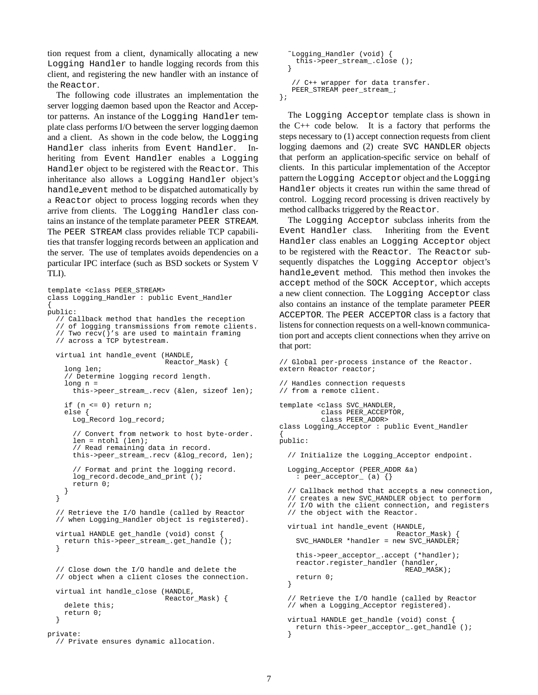tion request from a client, dynamically allocating a new Logging Handler to handle logging records from this client, and registering the new handler with an instance of the Reactor.

The following code illustrates an implementation the server logging daemon based upon the Reactor and Acceptor patterns. An instance of the Logging Handler template class performs I/O between the server logging daemon and a client. As shown in the code below, the Logging Handler class inherits from Event Handler. Inheriting from Event Handler enables a Logging Handler object to be registered with the Reactor. This inheritance also allows a Logging Handler object's handle event method to be dispatched automatically by a Reactor object to process logging records when they arrive from clients. The Logging Handler class contains an instance of the template parameter PEER STREAM. The PEER STREAM class provides reliable TCP capabilities that transfer logging records between an application and the server. The use of templates avoids dependencies on a particular IPC interface (such as BSD sockets or System V TLI).

```
template <class PEER_STREAM>
class Logging_Handler : public Event_Handler
{
public:
  // Callback method that handles the reception
  // of logging transmissions from remote clients.
  // Two recv()'s are used to maintain framing
  // across a TCP bytestream.
 virtual int handle_event (HANDLE,
                            Reactor_Mask) {
    long len;
    // Determine logging record length.
    long n =
      this->peer_stream_.recv (&len, sizeof len);
    if (n <= 0) return n;
    else {
      Log_Record log_record;
      // Convert from network to host byte-order.
      len = ntohl (len);
      // Read remaining data in record.
      this->peer_stream_.recv (&log_record, len);
      // Format and print the logging record.
      log_record.decode_and_print ();
      return 0;
    }
  }
  // Retrieve the I/O handle (called by Reactor
  // when Logging_Handler object is registered).
  virtual HANDLE get_handle (void) const {
    return this->peer_stream_.get_handle ();
  }
  // Close down the I/O handle and delete the
  // object when a client closes the connection.
  virtual int handle_close (HANDLE,
                            Reactor_Mask) {
    delete this;
    return 0;
  }
```

```
private:
```

```
// Private ensures dynamic allocation.
```

```
˜Logging_Handler (void) {
   this->peer_stream_.close ();
 }
   // C++ wrapper for data transfer.
  PEER_STREAM peer_stream_;
};
```

```
The Logging Acceptor template class is shown in
the C++ code below. It is a factory that performs the
steps necessary to (1) accept connection requests from client
logging daemons and (2) create SVC HANDLER objects
that perform an application-specific service on behalf of
clients. In this particular implementation of the Acceptor
pattern the Logging Acceptor object and the Logging
Handler objects it creates run within the same thread of
control. Logging record processing is driven reactively by
method callbacks triggered by the Reactor.
```
The Logging Acceptor subclass inherits from the Event Handler class. Inheriting from the Event Handler class enables an Logging Acceptor object to be registered with the Reactor. The Reactor subsequently dispatches the Logging Acceptor object's handle event method. This method then invokes the accept method of the SOCK Acceptor, which accepts a new client connection. The Logging Acceptor class also contains an instance of the template parameter PEER ACCEPTOR. The PEER ACCEPTOR class is a factory that listens for connection requests on a well-known communication port and accepts client connections when they arrive on that port:

```
// Global per-process instance of the Reactor.
extern Reactor reactor;
// Handles connection requests
// from a remote client.
template <class SVC_HANDLER,
          class PEER_ACCEPTOR,
          class PEER_ADDR>
class Logging_Acceptor : public Event_Handler
{
public:
  // Initialize the Logging_Acceptor endpoint.
 Logging_Acceptor (PEER_ADDR &a)
    : peer_acceptor_ (a) {}
  // Callback method that accepts a new connection,
  // creates a new SVC_HANDLER object to perform
  // I/O with the client connection, and registers
  // the object with the Reactor.
 virtual int handle_event (HANDLE,
                            Reactor_Mask) {
    SVC_HANDLER *handler = new SVC_HANDLER;
    this->peer_acceptor_.accept (*handler);
   reactor.register_handler (handler,
                              READ_MASK);
   return 0;
 }
  // Retrieve the I/O handle (called by Reactor
  // when a Logging_Acceptor registered).
 virtual HANDLE get_handle (void) const {
    return this->peer_acceptor_.get_handle ();
  }
```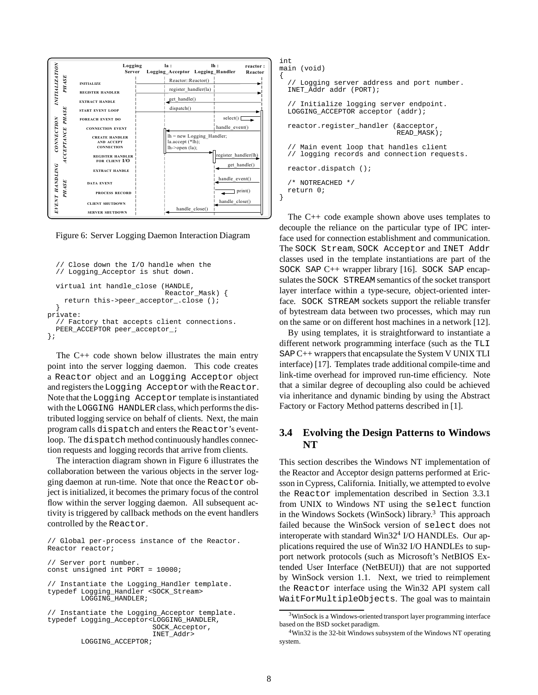|                                                              |                                              | Logging<br>Server                                               |  | la :<br>Logging Acceptor Logging Handler             | $lh$ : |                            | reactor:<br>Reactor |
|--------------------------------------------------------------|----------------------------------------------|-----------------------------------------------------------------|--|------------------------------------------------------|--------|----------------------------|---------------------|
| <b>INITIALIZATION</b><br>CONNECTION<br><b>EVENT HANDLING</b> | PHASE<br>PHASE<br><b>ACCEPTANCE</b><br>PHASE | <b>INITIALIZE</b>                                               |  | Reactor::Reactor()                                   |        |                            |                     |
|                                                              |                                              | <b>REGISTER HANDLER</b>                                         |  | register handler(la)                                 |        |                            |                     |
|                                                              |                                              | <b>EXTRACT HANDLE</b>                                           |  | get_handle()                                         |        |                            |                     |
|                                                              |                                              | <b>START EVENT LOOP</b>                                         |  | dispatch()                                           |        |                            |                     |
|                                                              |                                              | <b>FOREACH EVENT DO</b>                                         |  |                                                      |        | select()<br>handle event() |                     |
|                                                              |                                              | <b>CONNECTION EVENT</b>                                         |  |                                                      |        |                            |                     |
|                                                              |                                              | <b>CREATE HANDLER</b><br><b>AND ACCEPT</b><br><b>CONNECTION</b> |  | $lh = new Logging$ Handler;<br>$l$ a.accept $(*lh);$ |        |                            |                     |
|                                                              |                                              | <b>REGISTER HANDLER</b>                                         |  | $lh$ ->open $(la)$ ;                                 |        | register handler(lh)       |                     |
|                                                              |                                              | FOR CLIENT I/O                                                  |  |                                                      |        | get handle()               |                     |
|                                                              |                                              | <b>EXTRACT HANDLE</b>                                           |  |                                                      |        | handle event()             |                     |
|                                                              |                                              | <b>DATA EVENT</b>                                               |  |                                                      |        |                            |                     |
|                                                              |                                              | <b>PROCESS RECORD</b>                                           |  |                                                      |        |                            | print()             |
|                                                              |                                              | <b>CLIENT SHUTDOWN</b>                                          |  | handle close()                                       |        | handle close()             |                     |
|                                                              |                                              | <b>SERVER SHUTDOWN</b>                                          |  |                                                      |        |                            |                     |

Figure 6: Server Logging Daemon Interaction Diagram

```
// Close down the I/O handle when the
  // Logging_Acceptor is shut down.
  virtual int handle_close (HANDLE,
                            Reactor_Mask) {
    return this->peer_acceptor_.close ();
  }
private:
  // Factory that accepts client connections.
  PEER_ACCEPTOR peer_acceptor_;
};
```
The C++ code shown below illustrates the main entry point into the server logging daemon. This code creates a Reactor object and an Logging Acceptor object and registers the Logging Acceptor with the Reactor. Note that the Logging Acceptor template is instantiated with the LOGGING HANDLER class, which performs the distributed logging service on behalf of clients. Next, the main program calls dispatch and enters the Reactor's eventloop. The dispatch method continuously handles connection requests and logging records that arrive from clients.

The interaction diagram shown in Figure 6 illustrates the collaboration between the various objects in the server logging daemon at run-time. Note that once the Reactor object is initialized, it becomes the primary focus of the control flow within the server logging daemon. All subsequent activity is triggered by callback methods on the event handlers controlled by the Reactor.

```
// Global per-process instance of the Reactor.
Reactor reactor;
```

```
// Server port number.
const unsigned int PORT = 10000;
// Instantiate the Logging_Handler template.
typedef Logging_Handler <SOCK_Stream>
        LOGGING_HANDLER;
// Instantiate the Logging_Acceptor template.
typedef Logging_Acceptor<LOGGING_HANDLER,
                         SOCK_Acceptor,
                         INET_Addr>
        LOGGING_ACCEPTOR;
```

```
main (void)
{
  // Logging server address and port number.
  INET_Addr addr (PORT);
  // Initialize logging server endpoint.
 LOGGING_ACCEPTOR acceptor (addr);
 reactor.register_handler (&acceptor,
                            READ_MASK);
  // Main event loop that handles client
  // logging records and connection requests.
  reactor.dispatch ();
  /* NOTREACHED */
 return 0;
}
```
int

The C++ code example shown above uses templates to decouple the reliance on the particular type of IPC interface used for connection establishment and communication. The SOCK Stream, SOCK Acceptor and INET Addr classes used in the template instantiations are part of the SOCK SAP C++ wrapper library [16]. SOCK SAP encapsulates the SOCK STREAM semantics of the socket transport layer interface within a type-secure, object-oriented interface. SOCK STREAM sockets support the reliable transfer of bytestream data between two processes, which may run on the same or on different host machines in a network [12].

By using templates, it is straightforward to instantiate a different network programming interface (such as the TLI SAP C++ wrappers that encapsulate the System V UNIX TLI interface) [17]. Templates trade additional compile-time and link-time overhead for improved run-time efficiency. Note that a similar degree of decoupling also could be achieved via inheritance and dynamic binding by using the Abstract Factory or Factory Method patterns described in [1].

### **3.4 Evolving the Design Patterns to Windows NT**

This section describes the Windows NT implementation of the Reactor and Acceptor design patterns performed at Ericsson in Cypress, California. Initially, we attempted to evolve the Reactor implementation described in Section 3.3.1 from UNIX to Windows NT using the select function in the Windows Sockets (WinSock) library.<sup>3</sup> This approach failed because the WinSock version of select does not interoperate with standard Win32 $4$  I/O HANDLEs. Our applications required the use of Win32 I/O HANDLEs to support network protocols (such as Microsoft's NetBIOS Extended User Interface (NetBEUI)) that are not supported by WinSock version 1.1. Next, we tried to reimplement the Reactor interface using the Win32 API system call WaitForMultipleObjects. The goal was to maintain

 $3$ WinSock is a Windows-oriented transport layer programming interface based on the BSD socket paradigm.

<sup>4</sup>Win32 is the 32-bit Windows subsystem of the Windows NT operating system.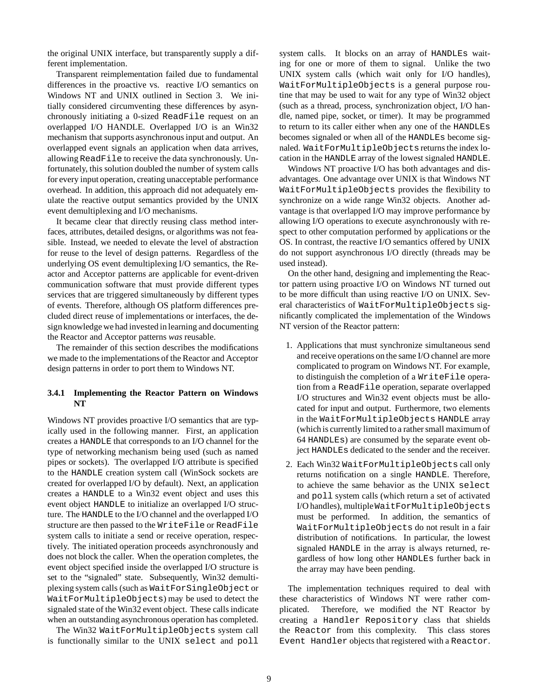the original UNIX interface, but transparently supply a different implementation.

Transparent reimplementation failed due to fundamental differences in the proactive vs. reactive I/O semantics on Windows NT and UNIX outlined in Section 3. We initially considered circumventing these differences by asynchronously initiating a 0-sized ReadFile request on an overlapped I/O HANDLE. Overlapped I/O is an Win32 mechanism that supports asynchronous input and output. An overlapped event signals an application when data arrives, allowing ReadFile to receive the data synchronously. Unfortunately, this solution doubled the number of system calls for every input operation, creating unacceptable performance overhead. In addition, this approach did not adequately emulate the reactive output semantics provided by the UNIX event demultiplexing and I/O mechanisms.

It became clear that directly reusing class method interfaces, attributes, detailed designs, or algorithms was not feasible. Instead, we needed to elevate the level of abstraction for reuse to the level of design patterns. Regardless of the underlying OS event demultiplexing I/O semantics, the Reactor and Acceptor patterns are applicable for event-driven communication software that must provide different types services that are triggered simultaneously by different types of events. Therefore, although OS platform differences precluded direct reuse of implementations or interfaces, the design knowledge we had invested in learning and documenting the Reactor and Acceptor patterns *was* reusable.

The remainder of this section describes the modifications we made to the implementations of the Reactor and Acceptor design patterns in order to port them to Windows NT.

#### **3.4.1 Implementing the Reactor Pattern on Windows NT**

Windows NT provides proactive I/O semantics that are typically used in the following manner. First, an application creates a HANDLE that corresponds to an I/O channel for the type of networking mechanism being used (such as named pipes or sockets). The overlapped I/O attribute is specified to the HANDLE creation system call (WinSock sockets are created for overlapped I/O by default). Next, an application creates a HANDLE to a Win32 event object and uses this event object HANDLE to initialize an overlapped I/O structure. The HANDLE to the I/O channel and the overlapped I/O structure are then passed to the WriteFile or ReadFile system calls to initiate a send or receive operation, respectively. The initiated operation proceeds asynchronously and does not block the caller. When the operation completes, the event object specified inside the overlapped I/O structure is set to the "signaled" state. Subsequently, Win32 demultiplexing system calls (such as WaitForSingleObject or WaitForMultipleObjects) may be used to detect the signaled state of the Win32 event object. These calls indicate when an outstanding asynchronous operation has completed.

The Win32 WaitForMultipleObjects system call is functionally similar to the UNIX select and poll system calls. It blocks on an array of HANDLEs waiting for one or more of them to signal. Unlike the two UNIX system calls (which wait only for I/O handles), WaitForMultipleObjects is a general purpose routine that may be used to wait for any type of Win32 object (such as a thread, process, synchronization object, I/O handle, named pipe, socket, or timer). It may be programmed to return to its caller either when any one of the HANDLEs becomes signaled or when all of the HANDLEs become signaled. WaitForMultipleObjectsreturns the index location in the HANDLE array of the lowest signaled HANDLE.

Windows NT proactive I/O has both advantages and disadvantages. One advantage over UNIX is that Windows NT WaitForMultipleObjects provides the flexibility to synchronize on a wide range Win32 objects. Another advantage is that overlapped I/O may improve performance by allowing I/O operations to execute asynchronously with respect to other computation performed by applications or the OS. In contrast, the reactive I/O semantics offered by UNIX do not support asynchronous I/O directly (threads may be used instead).

On the other hand, designing and implementing the Reactor pattern using proactive I/O on Windows NT turned out to be more difficult than using reactive I/O on UNIX. Several characteristics of WaitForMultipleObjects significantly complicated the implementation of the Windows NT version of the Reactor pattern:

- 1. Applications that must synchronize simultaneous send and receive operations on the same I/O channel are more complicated to program on Windows NT. For example, to distinguish the completion of a WriteFile operation from a ReadFile operation, separate overlapped I/O structures and Win32 event objects must be allocated for input and output. Furthermore, two elements in the WaitForMultipleObjects HANDLE array (which is currently limited to a rather small maximum of 64 HANDLEs) are consumed by the separate event object HANDLEs dedicated to the sender and the receiver.
- 2. Each Win32 WaitForMultipleObjects call only returns notification on a single HANDLE. Therefore, to achieve the same behavior as the UNIX select and poll system calls (which return a set of activated I/O handles), multipleWaitForMultipleObjects must be performed. In addition, the semantics of WaitForMultipleObjects do not result in a fair distribution of notifications. In particular, the lowest signaled HANDLE in the array is always returned, regardless of how long other HANDLEs further back in the array may have been pending.

The implementation techniques required to deal with these characteristics of Windows NT were rather complicated. Therefore, we modified the NT Reactor by creating a Handler Repository class that shields the Reactor from this complexity. This class stores Event Handler objects that registered with a Reactor.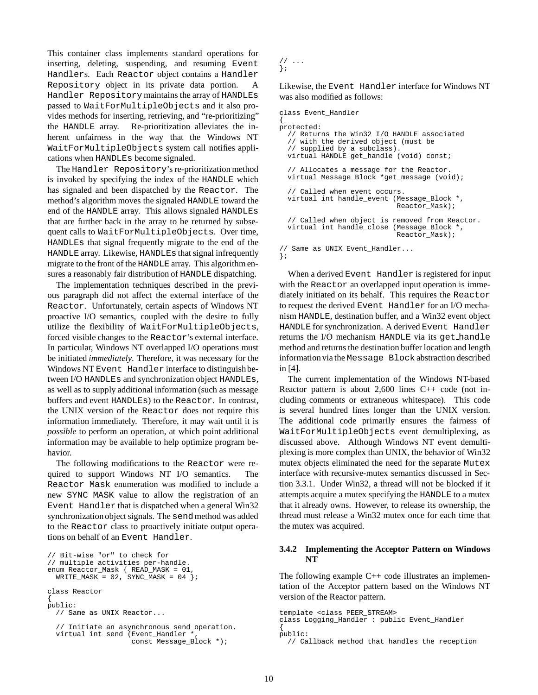This container class implements standard operations for inserting, deleting, suspending, and resuming Event Handlers. Each Reactor object contains a Handler Repository object in its private data portion. A Handler Repository maintains the array of HANDLEs passed to WaitForMultipleObjects and it also provides methods for inserting, retrieving, and "re-prioritizing" the HANDLE array. Re-prioritization alleviates the inherent unfairness in the way that the Windows NT WaitForMultipleObjects system call notifies applications when HANDLEs become signaled.

The Handler Repository's re-prioritization method is invoked by specifying the index of the HANDLE which has signaled and been dispatched by the Reactor. The method's algorithm moves the signaled HANDLE toward the end of the HANDLE array. This allows signaled HANDLEs that are further back in the array to be returned by subsequent calls to WaitForMultipleObjects. Over time, HANDLEs that signal frequently migrate to the end of the HANDLE array. Likewise, HANDLEs that signal infrequently migrate to the front of the HANDLE array. This algorithm ensures a reasonably fair distribution of HANDLE dispatching.

The implementation techniques described in the previous paragraph did not affect the external interface of the Reactor. Unfortunately, certain aspects of Windows NT proactive I/O semantics, coupled with the desire to fully utilize the flexibility of WaitForMultipleObjects, forced visible changes to the Reactor's external interface. In particular, Windows NT overlapped I/O operations must be initiated *immediately*. Therefore, it was necessary for the Windows NT Event Handler interface to distinguishbetween I/O HANDLEs and synchronization object HANDLEs, as well as to supply additional information (such as message buffers and event HANDLEs) to the Reactor. In contrast, the UNIX version of the Reactor does not require this information immediately. Therefore, it may wait until it is *possible* to perform an operation, at which point additional information may be available to help optimize program behavior.

The following modifications to the Reactor were required to support Windows NT I/O semantics. The Reactor Mask enumeration was modified to include a new SYNC MASK value to allow the registration of an Event Handler that is dispatched when a general Win32 synchronization object signals. The send method was added to the Reactor class to proactively initiate output operations on behalf of an Event Handler.

```
// Bit-wise "or" to check for
// multiple activities per-handle.
enum Reactor_Mask { READ_MASK = 01,
  WRITE\_MASK = 02, SYNCMASK = 04class Reactor
{
public:
  // Same as UNIX Reactor...
  // Initiate an asynchronous send operation.
  virtual int send (Event_Handler *
                    const Message_Block *);
```
// ... };

};

Likewise, the Event Handler interface for Windows NT was also modified as follows:

```
class Event_Handler
{
protected:
  // Returns the Win32 I/O HANDLE associated
  // with the derived object (must be
  // supplied by a subclass).
 virtual HANDLE get_handle (void) const;
  // Allocates a message for the Reactor.
 virtual Message_Block *get_message (void);
  // Called when event occurs.
 virtual int handle_event (Message_Block *,
                            Reactor_Mask);
 // Called when object is removed from Reactor.
 virtual int handle_close (Message_Block *,
                            Reactor_Mask);
// Same as UNIX Event_Handler...
```
When a derived Event Handler is registered for input with the Reactor an overlapped input operation is immediately initiated on its behalf. This requires the Reactor to request the derived Event Handler for an I/O mechanism HANDLE, destination buffer, and a Win32 event object HANDLE for synchronization. A derived Event Handler returns the I/O mechanism HANDLE via its get handle method and returns the destination buffer location and length information via the Message Block abstraction described in [4].

The current implementation of the Windows NT-based Reactor pattern is about 2,600 lines C++ code (not including comments or extraneous whitespace). This code is several hundred lines longer than the UNIX version. The additional code primarily ensures the fairness of WaitForMultipleObjects event demultiplexing, as discussed above. Although Windows NT event demultiplexing is more complex than UNIX, the behavior of Win32 mutex objects eliminated the need for the separate Mutex interface with recursive-mutex semantics discussed in Section 3.3.1. Under Win32, a thread will not be blocked if it attempts acquire a mutex specifying the HANDLE to a mutex that it already owns. However, to release its ownership, the thread must release a Win32 mutex once for each time that the mutex was acquired.

#### **3.4.2 Implementing the Acceptor Pattern on Windows NT**

The following example  $C++$  code illustrates an implementation of the Acceptor pattern based on the Windows NT version of the Reactor pattern.

```
template <class PEER_STREAM>
class Logging_Handler : public Event_Handler
{
public:
  // Callback method that handles the reception
```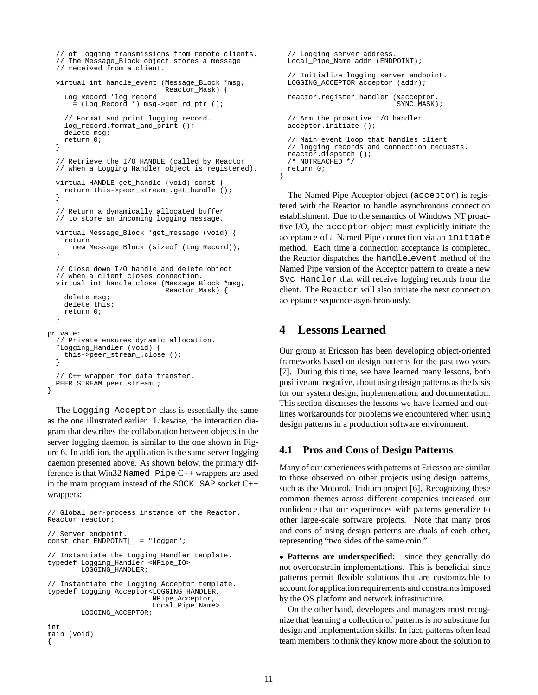```
// of logging transmissions from remote clients.
  // The Message_Block object stores a message
  // received from a client.
  virtual int handle_event (Message_Block *msg,
                            Reactor_Mask) {
    Log_Record *log_record
      = (Log_Record *) msg->get_rd_ptr ();
    // Format and print logging record.
    log_record.format_and_print ();
    delete msg;
   return 0;
  }
  // Retrieve the I/O HANDLE (called by Reactor
  // when a Logging_Handler object is registered).
  virtual HANDLE get_handle (void) const {
   return this->peer_stream_.get_handle ();
  }
  // Return a dynamically allocated buffer
  // to store an incoming logging message.
 virtual Message_Block *get_message (void) {
    return
      new Message_Block (sizeof (Log_Record));
  }
  // Close down I/O handle and delete object
  // when a client closes connection.
 virtual int handle_close (Message_Block *msg,
                            Reactor_Mask) {
    delete msg;
    delete this;
    return 0;
  }
private:
  // Private ensures dynamic allocation.
  ˜Logging_Handler (void) {
    this->peer_stream_.close ();
  }
  // C++ wrapper for data transfer.
 PEER_STREAM peer_stream_;
```
The Logging Acceptor class is essentially the same as the one illustrated earlier. Likewise, the interaction diagram that describes the collaboration between objects in the server logging daemon is similar to the one shown in Figure 6. In addition, the application is the same server logging daemon presented above. As shown below, the primary difference is that Win32 Named Pipe  $C++$  wrappers are used in the main program instead of the SOCK SAP socket C++ wrappers:

}

```
// Global per-process instance of the Reactor.
Reactor reactor;
// Server endpoint.
const char ENDPOINT[] = "logger";
// Instantiate the Logging_Handler template.
typedef Logging_Handler <NPipe_IO>
       LOGGING_HANDLER;
// Instantiate the Logging_Acceptor template.
typedef Logging_Acceptor<LOGGING_HANDLER,
                         NPipe_Acceptor,
                         Local_Pipe_Name>
        LOGGING_ACCEPTOR;
int
main (void)
{
```

```
// Logging server address.
 Local_Pipe_Name addr (ENDPOINT);
  // Initialize logging server endpoint.
 LOGGING_ACCEPTOR acceptor (addr);
 reactor.register_handler (&acceptor,
                            SYNC_MASK);
 // Arm the proactive I/O handler.
 acceptor.initiate ();
  // Main event loop that handles client
 // logging records and connection requests.
 reactor.dispatch ();
  /* NOTREACHED */
 return 0;
}
```
The Named Pipe Acceptor object (acceptor) is registered with the Reactor to handle asynchronous connection establishment. Due to the semantics of Windows NT proactive I/O, the acceptor object must explicitly initiate the acceptance of a Named Pipe connection via an initiate method. Each time a connection acceptance is completed, the Reactor dispatches the handle event method of the Named Pipe version of the Acceptor pattern to create a new Svc Handler that will receive logging records from the client. The Reactor will also initiate the next connection acceptance sequence asynchronously.

## **4 Lessons Learned**

Our group at Ericsson has been developing object-oriented frameworks based on design patterns for the past two years [7]. During this time, we have learned many lessons, both positiveand negative, about using design patterns as the basis for our system design, implementation, and documentation. This section discusses the lessons we have learned and outlines workarounds for problems we encountered when using design patterns in a production software environment.

### **4.1 Pros and Cons of Design Patterns**

Many of our experiences with patterns at Ericsson are similar to those observed on other projects using design patterns, such as the Motorola Iridium project [6]. Recognizing these common themes across different companies increased our confidence that our experiences with patterns generalize to other large-scale software projects. Note that many pros and cons of using design patterns are duals of each other, representing "two sides of the same coin."

 **Patterns are underspecified:** since they generally do not overconstrain implementations. This is beneficial since patterns permit flexible solutions that are customizable to account for application requirements and constraints imposed by the OS platform and network infrastructure.

On the other hand, developers and managers must recognize that learning a collection of patterns is no substitute for design and implementation skills. In fact, patterns often lead team members to think they know more about the solution to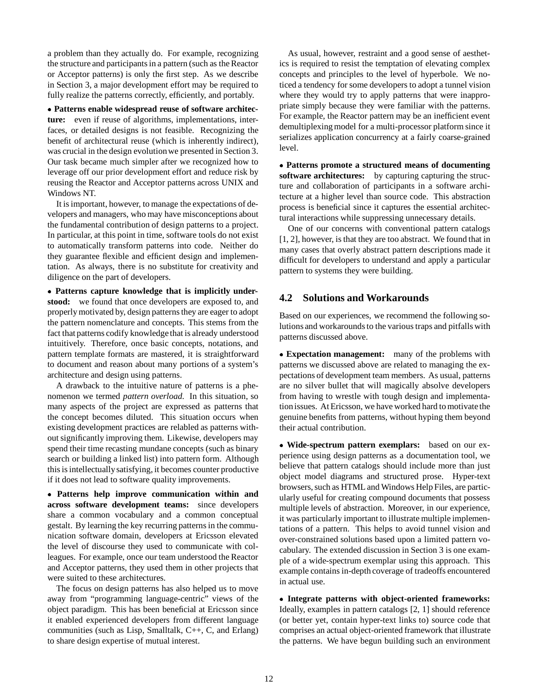a problem than they actually do. For example, recognizing the structure and participants in a pattern (such as the Reactor or Acceptor patterns) is only the first step. As we describe in Section 3, a major development effort may be required to fully realize the patterns correctly, efficiently, and portably.

 **Patterns enable widespread reuse of software architecture:** even if reuse of algorithms, implementations, interfaces, or detailed designs is not feasible. Recognizing the benefit of architectural reuse (which is inherently indirect), was crucial in the design evolutionwe presented in Section 3. Our task became much simpler after we recognized how to leverage off our prior development effort and reduce risk by reusing the Reactor and Acceptor patterns across UNIX and Windows NT.

It is important, however, to manage the expectations of developers and managers, who may have misconceptions about the fundamental contribution of design patterns to a project. In particular, at this point in time, software tools do not exist to automatically transform patterns into code. Neither do they guarantee flexible and efficient design and implementation. As always, there is no substitute for creativity and diligence on the part of developers.

 **Patterns capture knowledge that is implicitly understood:** we found that once developers are exposed to, and properly motivated by, design patterns they are eager to adopt the pattern nomenclature and concepts. This stems from the fact that patterns codify knowledge that is already understood intuitively. Therefore, once basic concepts, notations, and pattern template formats are mastered, it is straightforward to document and reason about many portions of a system's architecture and design using patterns.

A drawback to the intuitive nature of patterns is a phenomenon we termed *pattern overload.* In this situation, so many aspects of the project are expressed as patterns that the concept becomes diluted. This situation occurs when existing development practices are relabled as patterns without significantly improving them. Likewise, developers may spend their time recasting mundane concepts (such as binary search or building a linked list) into pattern form. Although this is intellectuallysatisfying, it becomes counter productive if it does not lead to software quality improvements.

 **Patterns help improve communication within and across software development teams:** since developers share a common vocabulary and a common conceptual gestalt. By learning the key recurring patterns in the communication software domain, developers at Ericsson elevated the level of discourse they used to communicate with colleagues. For example, once our team understood the Reactor and Acceptor patterns, they used them in other projects that were suited to these architectures.

The focus on design patterns has also helped us to move away from "programming language-centric" views of the object paradigm. This has been beneficial at Ericsson since it enabled experienced developers from different language communities (such as Lisp, Smalltalk, C++, C, and Erlang) to share design expertise of mutual interest.

As usual, however, restraint and a good sense of aesthetics is required to resist the temptation of elevating complex concepts and principles to the level of hyperbole. We noticed a tendency for some developers to adopt a tunnel vision where they would try to apply patterns that were inappropriate simply because they were familiar with the patterns. For example, the Reactor pattern may be an inefficient event demultiplexing model for a multi-processor platform since it serializes application concurrency at a fairly coarse-grained level.

 **Patterns promote a structured means of documenting software architectures:** by capturing capturing the structure and collaboration of participants in a software architecture at a higher level than source code. This abstraction process is beneficial since it captures the essential architectural interactions while suppressing unnecessary details.

One of our concerns with conventional pattern catalogs [1, 2], however, is that they are too abstract. We found that in many cases that overly abstract pattern descriptions made it difficult for developers to understand and apply a particular pattern to systems they were building.

### **4.2 Solutions and Workarounds**

Based on our experiences, we recommend the following solutions and workarounds to the various traps and pitfalls with patterns discussed above.

 **Expectation management:** many of the problems with patterns we discussed above are related to managing the expectations of development team members. As usual, patterns are no silver bullet that will magically absolve developers from having to wrestle with tough design and implementationissues. At Ericsson, we have worked hard to motivate the genuine benefits from patterns, without hyping them beyond their actual contribution.

 **Wide-spectrum pattern exemplars:** based on our experience using design patterns as a documentation tool, we believe that pattern catalogs should include more than just object model diagrams and structured prose. Hyper-text browsers, such as HTML and Windows Help Files, are particularly useful for creating compound documents that possess multiple levels of abstraction. Moreover, in our experience, it was particularly important to illustrate multiple implementations of a pattern. This helps to avoid tunnel vision and over-constrained solutions based upon a limited pattern vocabulary. The extended discussion in Section 3 is one example of a wide-spectrum exemplar using this approach. This example contains in-depth coverage of tradeoffs encountered in actual use.

 **Integrate patterns with object-oriented frameworks:** Ideally, examples in pattern catalogs [2, 1] should reference (or better yet, contain hyper-text links to) source code that comprises an actual object-oriented framework that illustrate the patterns. We have begun building such an environment